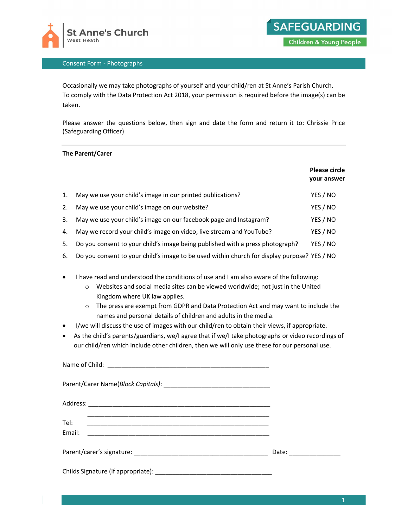



## Consent Form - Photographs

Occasionally we may take photographs of yourself and your child/ren at St Anne's Parish Church. To comply with the Data Protection Act 2018, your permission is required before the image(s) can be taken.

Please answer the questions below, then sign and date the form and return it to: Chrissie Price (Safeguarding Officer)

## The Parent/Carer

|    |                                                                                             | <b>Please circle</b><br>your answer |
|----|---------------------------------------------------------------------------------------------|-------------------------------------|
| 1. | May we use your child's image in our printed publications?                                  | YES / NO                            |
| 2. | May we use your child's image on our website?                                               | YES / NO                            |
| 3. | May we use your child's image on our facebook page and Instagram?                           | YES / NO                            |
| 4. | May we record your child's image on video, live stream and YouTube?                         | YES / NO                            |
| 5. | Do you consent to your child's image being published with a press photograph?               | YES / NO                            |
| 6. | Do you consent to your child's image to be used within church for display purpose? YES / NO |                                     |

I have read and understood the conditions of use and I am also aware of the following:

- o Websites and social media sites can be viewed worldwide; not just in the United Kingdom where UK law applies.
- o The press are exempt from GDPR and Data Protection Act and may want to include the names and personal details of children and adults in the media.
- I/we will discuss the use of images with our child/ren to obtain their views, if appropriate.
- As the child's parents/guardians, we/I agree that if we/I take photographs or video recordings of our child/ren which include other children, then we will only use these for our personal use.

| Tel:<br>Email: |                        |
|----------------|------------------------|
|                | Date: ________________ |
|                |                        |